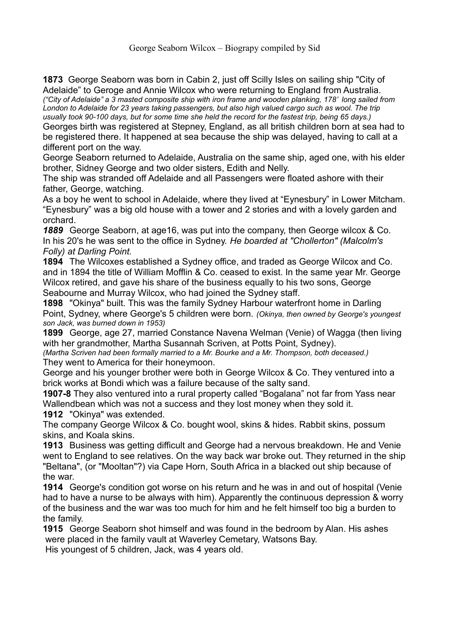**1873** George Seaborn was born in Cabin 2, just off Scilly Isles on sailing ship "City of Adelaide" to Geroge and Annie Wilcox who were returning to England from Australia.

*("City of Adelaide" a 3 masted composite ship with iron frame and wooden planking, 178' long sailed from*  London to Adelaide for 23 years taking passengers, but also high valued cargo such as wool. The trip *usually took 90-100 days, but for some time she held the record for the fastest trip, being 65 days.)*

Georges birth was registered at Stepney, England, as all british children born at sea had to be registered there. It happened at sea because the ship was delayed, having to call at a different port on the way.

George Seaborn returned to Adelaide, Australia on the same ship, aged one, with his elder brother, Sidney George and two older sisters, Edith and Nelly.

The ship was stranded off Adelaide and all Passengers were floated ashore with their father, George, watching.

As a boy he went to school in Adelaide, where they lived at "Eynesbury" in Lower Mitcham. "Eynesbury" was a big old house with a tower and 2 stories and with a lovely garden and orchard.

*1889* George Seaborn, at age16, was put into the company, then George wilcox & Co. In his 20's he was sent to the office in Sydney. *He boarded at "Chollerton" (Malcolm's Folly) at Darling Point.*

**1894** The Wilcoxes established a Sydney office, and traded as George Wilcox and Co. and in 1894 the title of William Mofflin & Co. ceased to exist. In the same year Mr. George Wilcox retired, and gave his share of the business equally to his two sons, George Seabourne and Murray Wilcox, who had joined the Sydney staff.

**1898** "Okinya" built. This was the family Sydney Harbour waterfront home in Darling Point, Sydney, where George's 5 children were born. *(Okinya, then owned by George's youngest son Jack, was burned down in 1953)*

**1899** George, age 27, married Constance Navena Welman (Venie) of Wagga (then living with her grandmother, Martha Susannah Scriven, at Potts Point, Sydney).

*(Martha Scriven had been formally married to a Mr. Bourke and a Mr. Thompson, both deceased.)*  They went to America for their honeymoon.

George and his younger brother were both in George Wilcox & Co. They ventured into a brick works at Bondi which was a failure because of the salty sand.

**1907-8** They also ventured into a rural property called "Bogalana" not far from Yass near Wallendbean which was not a success and they lost money when they sold it.

**1912** "Okinya" was extended.

The company George Wilcox & Co. bought wool, skins & hides. Rabbit skins, possum skins, and Koala skins.

**1913** Business was getting difficult and George had a nervous breakdown. He and Venie went to England to see relatives. On the way back war broke out. They returned in the ship "Beltana", (or "Mooltan"?) via Cape Horn, South Africa in a blacked out ship because of the war.

**1914** George's condition got worse on his return and he was in and out of hospital (Venie had to have a nurse to be always with him). Apparently the continuous depression & worry of the business and the war was too much for him and he felt himself too big a burden to the family.

**1915** George Seaborn shot himself and was found in the bedroom by Alan. His ashes were placed in the family vault at Waverley Cemetary, Watsons Bay.

His youngest of 5 children, Jack, was 4 years old.